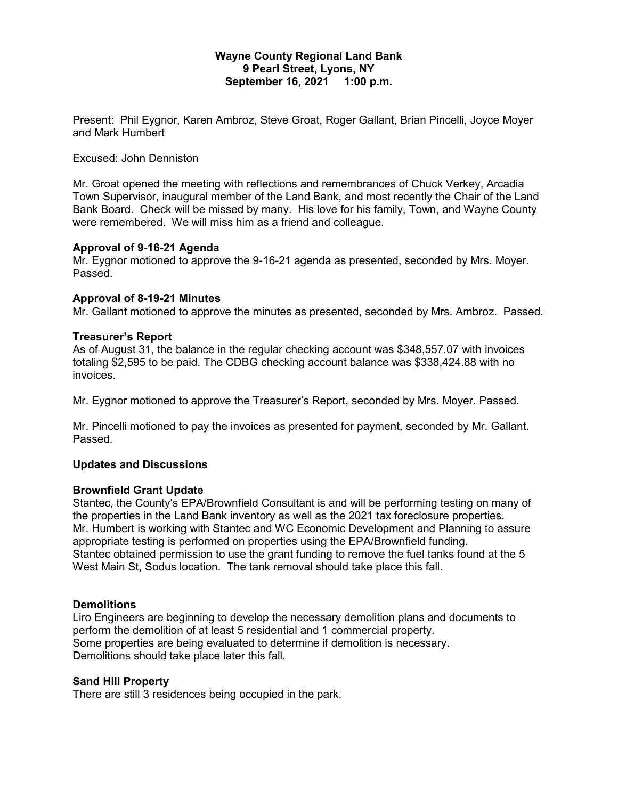## **Wayne County Regional Land Bank 9 Pearl Street, Lyons, NY September 16, 2021 1:00 p.m.**

Present: Phil Eygnor, Karen Ambroz, Steve Groat, Roger Gallant, Brian Pincelli, Joyce Moyer and Mark Humbert

## Excused: John Denniston

Mr. Groat opened the meeting with reflections and remembrances of Chuck Verkey, Arcadia Town Supervisor, inaugural member of the Land Bank, and most recently the Chair of the Land Bank Board. Check will be missed by many. His love for his family, Town, and Wayne County were remembered. We will miss him as a friend and colleague.

## **Approval of 9-16-21 Agenda**

Mr. Eygnor motioned to approve the 9-16-21 agenda as presented, seconded by Mrs. Moyer. Passed.

## **Approval of 8-19-21 Minutes**

Mr. Gallant motioned to approve the minutes as presented, seconded by Mrs. Ambroz. Passed.

#### **Treasurer's Report**

As of August 31, the balance in the regular checking account was \$348,557.07 with invoices totaling \$2,595 to be paid. The CDBG checking account balance was \$338,424.88 with no invoices.

Mr. Eygnor motioned to approve the Treasurer's Report, seconded by Mrs. Moyer. Passed.

Mr. Pincelli motioned to pay the invoices as presented for payment, seconded by Mr. Gallant. Passed.

#### **Updates and Discussions**

#### **Brownfield Grant Update**

Stantec, the County's EPA/Brownfield Consultant is and will be performing testing on many of the properties in the Land Bank inventory as well as the 2021 tax foreclosure properties. Mr. Humbert is working with Stantec and WC Economic Development and Planning to assure appropriate testing is performed on properties using the EPA/Brownfield funding. Stantec obtained permission to use the grant funding to remove the fuel tanks found at the 5 West Main St, Sodus location. The tank removal should take place this fall.

#### **Demolitions**

Liro Engineers are beginning to develop the necessary demolition plans and documents to perform the demolition of at least 5 residential and 1 commercial property. Some properties are being evaluated to determine if demolition is necessary. Demolitions should take place later this fall.

#### **Sand Hill Property**

There are still 3 residences being occupied in the park.